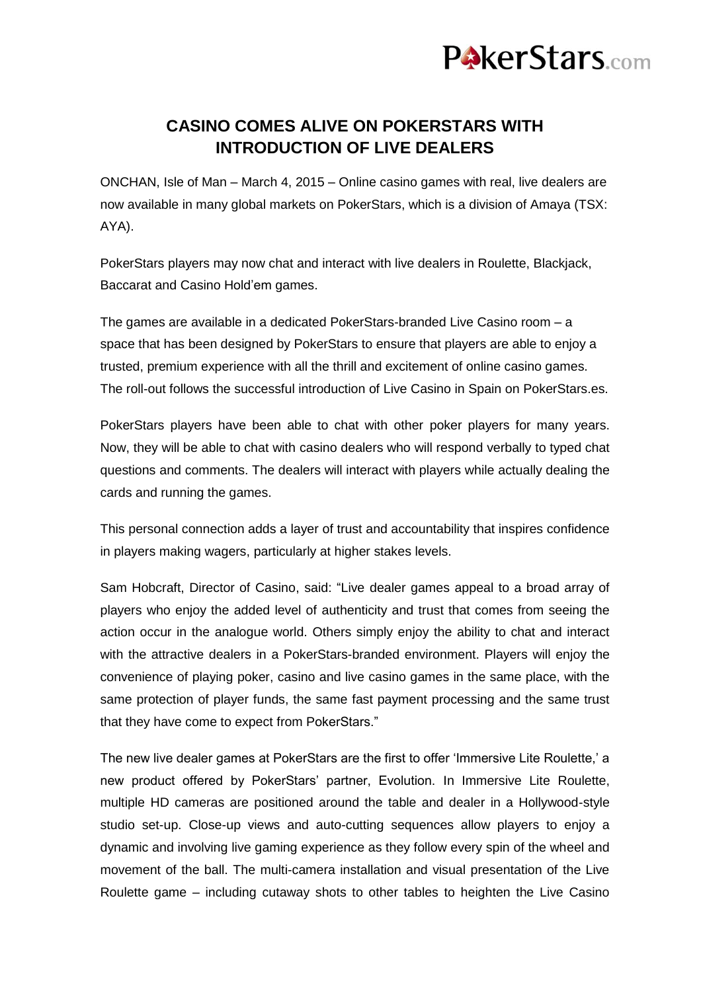

## **CASINO COMES ALIVE ON POKERSTARS WITH INTRODUCTION OF LIVE DEALERS**

ONCHAN, Isle of Man – March 4, 2015 – Online casino games with real, live dealers are now available in many global markets on PokerStars, which is a division of Amaya (TSX: AYA).

PokerStars players may now chat and interact with live dealers in Roulette, Blackjack, Baccarat and Casino Hold'em games.

The games are available in a dedicated PokerStars-branded Live Casino room – a space that has been designed by PokerStars to ensure that players are able to enjoy a trusted, premium experience with all the thrill and excitement of online casino games. The roll-out follows the successful introduction of Live Casino in Spain on PokerStars.es.

PokerStars players have been able to chat with other poker players for many years. Now, they will be able to chat with casino dealers who will respond verbally to typed chat questions and comments. The dealers will interact with players while actually dealing the cards and running the games.

This personal connection adds a layer of trust and accountability that inspires confidence in players making wagers, particularly at higher stakes levels.

Sam Hobcraft, Director of Casino, said: "Live dealer games appeal to a broad array of players who enjoy the added level of authenticity and trust that comes from seeing the action occur in the analogue world. Others simply enjoy the ability to chat and interact with the attractive dealers in a PokerStars-branded environment. Players will enjoy the convenience of playing poker, casino and live casino games in the same place, with the same protection of player funds, the same fast payment processing and the same trust that they have come to expect from PokerStars."

The new live dealer games at PokerStars are the first to offer 'Immersive Lite Roulette,' a new product offered by PokerStars' partner, Evolution. In Immersive Lite Roulette, multiple HD cameras are positioned around the table and dealer in a Hollywood-style studio set-up. Close-up views and auto-cutting sequences allow players to enjoy a dynamic and involving live gaming experience as they follow every spin of the wheel and movement of the ball. The multi-camera installation and visual presentation of the Live Roulette game – including cutaway shots to other tables to heighten the Live Casino